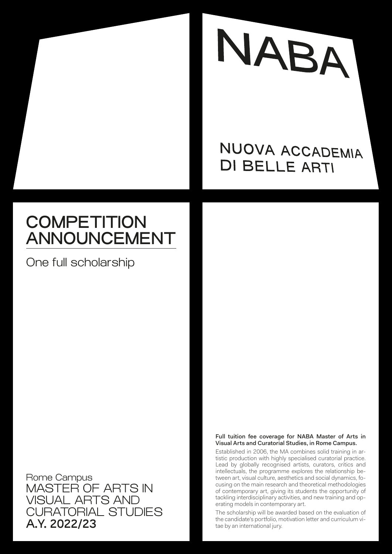

## NUOVA ACCADEMIA **DI BELLE ARTI**

# **COMPETITION** ANNOUNCEMENT

One full scholarship

Rome Campus MASTER OF ARTS IN VISUAL ARTS AND CURATORIAL STUDIES A.Y. 2022/23

### Full tuition fee coverage for NABA Master of Arts in Visual Arts and Curatorial Studies, in Rome Campus.

Established in 2006, the MA combines solid training in artistic production with highly specialised curatorial practice. Lead by globally recognised artists, curators, critics and intellectuals, the programme explores the relationship between art, visual culture, aesthetics and social dynamics, focusing on the main research and theoretical methodologies of contemporary art, giving its students the opportunity of tackling interdisciplinary activities, and new training and operating models in contemporary art.

The scholarship will be awarded based on the evaluation of the candidate's portfolio, motivation letter and curriculum vitae by an international jury.